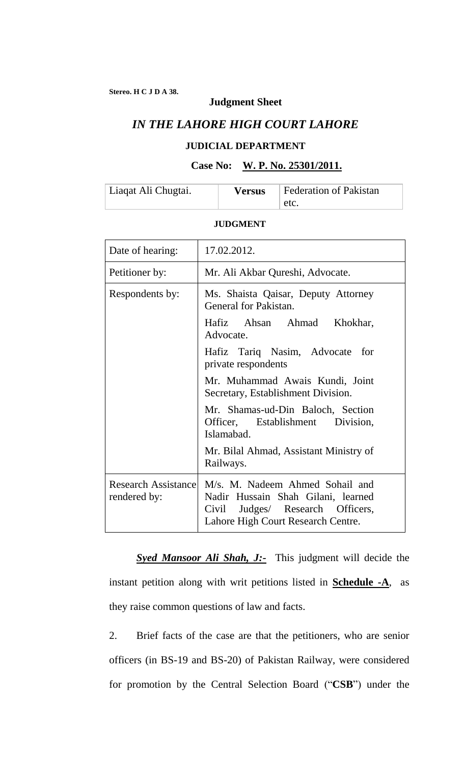### **Judgment Sheet**

# *IN THE LAHORE HIGH COURT LAHORE*

## **JUDICIAL DEPARTMENT**

#### **Case No: W. P. No. 25301/2011.**

| Liaqat Ali Chugtai. | <b>Versus</b> | Federation of Pakistan |
|---------------------|---------------|------------------------|
|                     |               | etc.                   |

### **JUDGMENT**

| Date of hearing:                           | 17.02.2012.                                                                                                                                        |  |
|--------------------------------------------|----------------------------------------------------------------------------------------------------------------------------------------------------|--|
| Petitioner by:                             | Mr. Ali Akbar Qureshi, Advocate.                                                                                                                   |  |
| Respondents by:                            | Ms. Shaista Qaisar, Deputy Attorney<br>General for Pakistan.                                                                                       |  |
|                                            | Hafiz Ahsan Ahmad Khokhar,<br>Advocate.                                                                                                            |  |
|                                            | Hafiz Tariq Nasim, Advocate<br>for<br>private respondents                                                                                          |  |
|                                            | Mr. Muhammad Awais Kundi, Joint<br>Secretary, Establishment Division.                                                                              |  |
|                                            | Mr. Shamas-ud-Din Baloch, Section<br>Officer, Establishment Division,<br>Islamabad.                                                                |  |
|                                            | Mr. Bilal Ahmad, Assistant Ministry of<br>Railways.                                                                                                |  |
| <b>Research Assistance</b><br>rendered by: | M/s. M. Nadeem Ahmed Sohail and<br>Nadir Hussain Shah Gilani, learned<br>Judges/ Research Officers,<br>Civil<br>Lahore High Court Research Centre. |  |

*Syed Mansoor Ali Shah, J:-* This judgment will decide the instant petition along with writ petitions listed in **Schedule -A**, as they raise common questions of law and facts.

2. Brief facts of the case are that the petitioners, who are senior officers (in BS-19 and BS-20) of Pakistan Railway, were considered for promotion by the Central Selection Board ("**CSB**") under the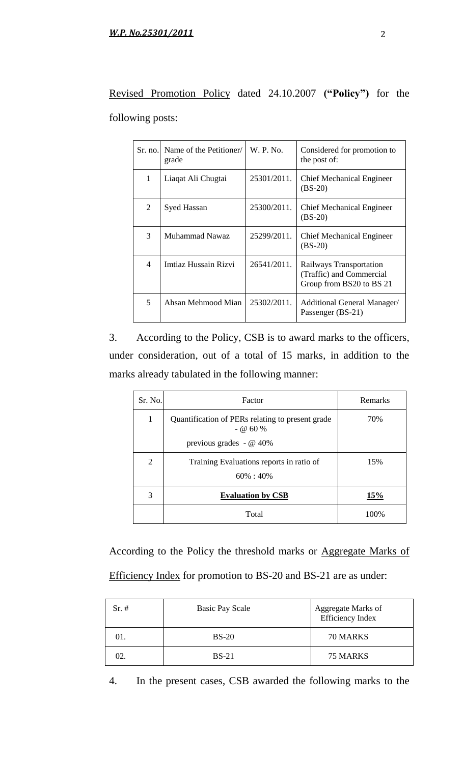Revised Promotion Policy dated 24.10.2007 **("Policy")** for the following posts:

|                | Sr. no. Name of the Petitioner<br>grade | W. P. No.   | Considered for promotion to<br>the post of:                                     |
|----------------|-----------------------------------------|-------------|---------------------------------------------------------------------------------|
| 1              | Liaqat Ali Chugtai                      | 25301/2011. | <b>Chief Mechanical Engineer</b><br>$(BS-20)$                                   |
| 2              | Syed Hassan                             | 25300/2011. | <b>Chief Mechanical Engineer</b><br>$(BS-20)$                                   |
| 3              | Muhammad Nawaz                          | 25299/2011. | <b>Chief Mechanical Engineer</b><br>$(BS-20)$                                   |
| $\overline{4}$ | Imtiaz Hussain Rizvi                    | 26541/2011. | Railways Transportation<br>(Traffic) and Commercial<br>Group from BS20 to BS 21 |
| 5              | Ahsan Mehmood Mian                      | 25302/2011. | Additional General Manager/<br>Passenger (BS-21)                                |

3. According to the Policy, CSB is to award marks to the officers, under consideration, out of a total of 15 marks, in addition to the marks already tabulated in the following manner:

| Sr. No.        | Factor                                                         | Remarks |
|----------------|----------------------------------------------------------------|---------|
| $\mathbf{1}$   | Quantification of PERs relating to present grade<br>$-$ @ 60 % | 70%     |
|                | previous grades - $@$ 40%                                      |         |
| $\overline{2}$ | Training Evaluations reports in ratio of<br>$60\% : 40\%$      | 15%     |
| 3              | <b>Evaluation by CSB</b>                                       | 15%     |
|                | Total                                                          | 100%    |

According to the Policy the threshold marks or Aggregate Marks of Efficiency Index for promotion to BS-20 and BS-21 are as under:

| $Sr. \#$ | <b>Basic Pay Scale</b> | Aggregate Marks of<br><b>Efficiency Index</b> |
|----------|------------------------|-----------------------------------------------|
| DI.      | $BS-20$                | 70 MARKS                                      |
| 92.      | $BS-21$                | 75 MARKS                                      |

4. In the present cases, CSB awarded the following marks to the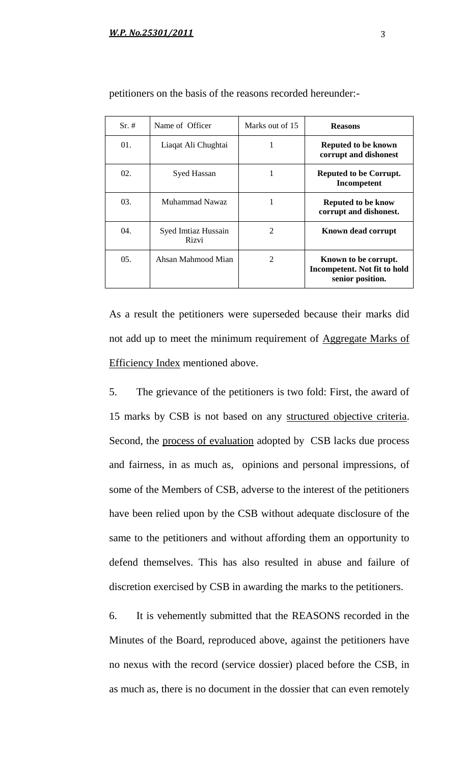| $Sr. \#$         | Name of Officer              | Marks out of 15 | <b>Reasons</b>                                                           |
|------------------|------------------------------|-----------------|--------------------------------------------------------------------------|
| $01$ .           | Liaqat Ali Chughtai          |                 | Reputed to be known<br>corrupt and dishonest                             |
| 02.              | <b>Syed Hassan</b>           |                 | Reputed to be Corrupt.<br>Incompetent                                    |
| 03.              | Muhammad Nawaz               |                 | Reputed to be know<br>corrupt and dishonest.                             |
| 04.              | Syed Imtiaz Hussain<br>Rizvi | $\overline{2}$  | Known dead corrupt                                                       |
| 0.5 <sub>1</sub> | Ahsan Mahmood Mian           | $\overline{2}$  | Known to be corrupt.<br>Incompetent. Not fit to hold<br>senior position. |

petitioners on the basis of the reasons recorded hereunder:-

As a result the petitioners were superseded because their marks did not add up to meet the minimum requirement of Aggregate Marks of Efficiency Index mentioned above.

5. The grievance of the petitioners is two fold: First, the award of 15 marks by CSB is not based on any structured objective criteria. Second, the process of evaluation adopted by CSB lacks due process and fairness, in as much as, opinions and personal impressions, of some of the Members of CSB, adverse to the interest of the petitioners have been relied upon by the CSB without adequate disclosure of the same to the petitioners and without affording them an opportunity to defend themselves. This has also resulted in abuse and failure of discretion exercised by CSB in awarding the marks to the petitioners.

6. It is vehemently submitted that the REASONS recorded in the Minutes of the Board, reproduced above, against the petitioners have no nexus with the record (service dossier) placed before the CSB, in as much as, there is no document in the dossier that can even remotely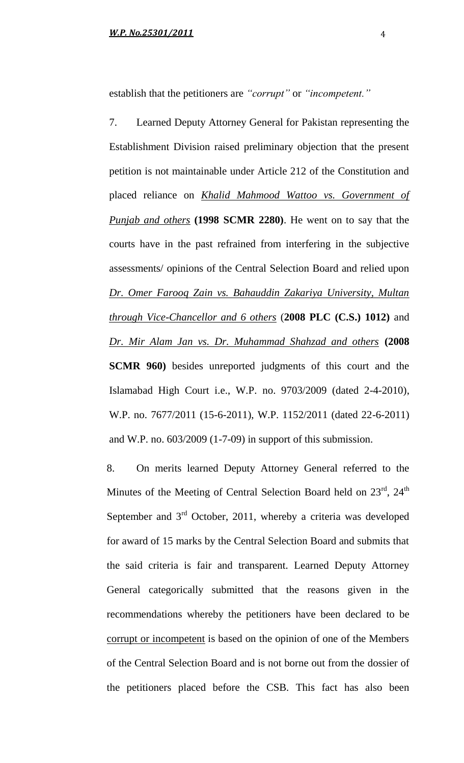establish that the petitioners are *"corrupt"* or *"incompetent."*

7. Learned Deputy Attorney General for Pakistan representing the Establishment Division raised preliminary objection that the present petition is not maintainable under Article 212 of the Constitution and placed reliance on *Khalid Mahmood Wattoo vs. Government of Punjab and others* **(1998 SCMR 2280)**. He went on to say that the courts have in the past refrained from interfering in the subjective assessments/ opinions of the Central Selection Board and relied upon *Dr. Omer Farooq Zain vs. Bahauddin Zakariya University, Multan through Vice-Chancellor and 6 others* (**2008 PLC (C.S.) 1012)** and *Dr. Mir Alam Jan vs. Dr. Muhammad Shahzad and others* **(2008 SCMR 960)** besides unreported judgments of this court and the Islamabad High Court i.e., W.P. no. 9703/2009 (dated 2-4-2010), W.P. no. 7677/2011 (15-6-2011), W.P. 1152/2011 (dated 22-6-2011) and W.P. no. 603/2009 (1-7-09) in support of this submission.

8. On merits learned Deputy Attorney General referred to the Minutes of the Meeting of Central Selection Board held on 23rd, 24<sup>th</sup> September and  $3<sup>rd</sup>$  October, 2011, whereby a criteria was developed for award of 15 marks by the Central Selection Board and submits that the said criteria is fair and transparent. Learned Deputy Attorney General categorically submitted that the reasons given in the recommendations whereby the petitioners have been declared to be corrupt or incompetent is based on the opinion of one of the Members of the Central Selection Board and is not borne out from the dossier of the petitioners placed before the CSB. This fact has also been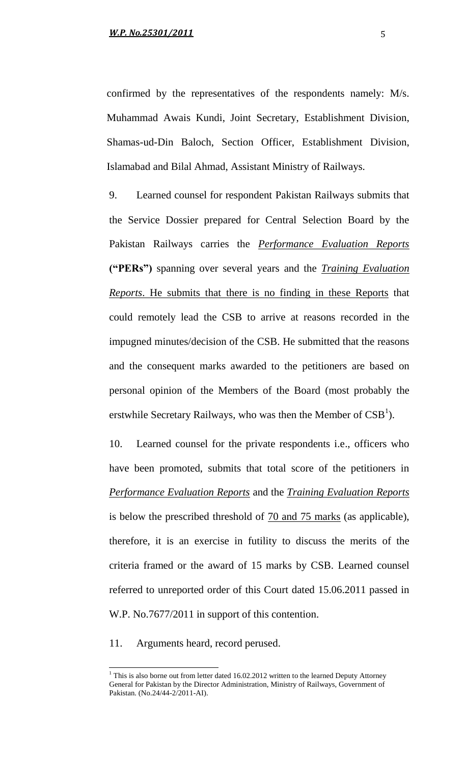confirmed by the representatives of the respondents namely: M/s. Muhammad Awais Kundi, Joint Secretary, Establishment Division, Shamas-ud-Din Baloch, Section Officer, Establishment Division, Islamabad and Bilal Ahmad, Assistant Ministry of Railways.

9. Learned counsel for respondent Pakistan Railways submits that the Service Dossier prepared for Central Selection Board by the Pakistan Railways carries the *Performance Evaluation Reports* **("PERs")** spanning over several years and the *Training Evaluation Reports*. He submits that there is no finding in these Reports that could remotely lead the CSB to arrive at reasons recorded in the impugned minutes/decision of the CSB. He submitted that the reasons and the consequent marks awarded to the petitioners are based on personal opinion of the Members of the Board (most probably the erstwhile Secretary Railways, who was then the Member of  $CSB<sup>1</sup>$ ).

10. Learned counsel for the private respondents i.e., officers who have been promoted, submits that total score of the petitioners in *Performance Evaluation Reports* and the *Training Evaluation Reports* is below the prescribed threshold of 70 and 75 marks (as applicable), therefore, it is an exercise in futility to discuss the merits of the criteria framed or the award of 15 marks by CSB. Learned counsel referred to unreported order of this Court dated 15.06.2011 passed in W.P. No.7677/2011 in support of this contention.

11. Arguments heard, record perused.

l

 $1$  This is also borne out from letter dated 16.02.2012 written to the learned Deputy Attorney General for Pakistan by the Director Administration, Ministry of Railways, Government of Pakistan. (No.24/44-2/2011-AI).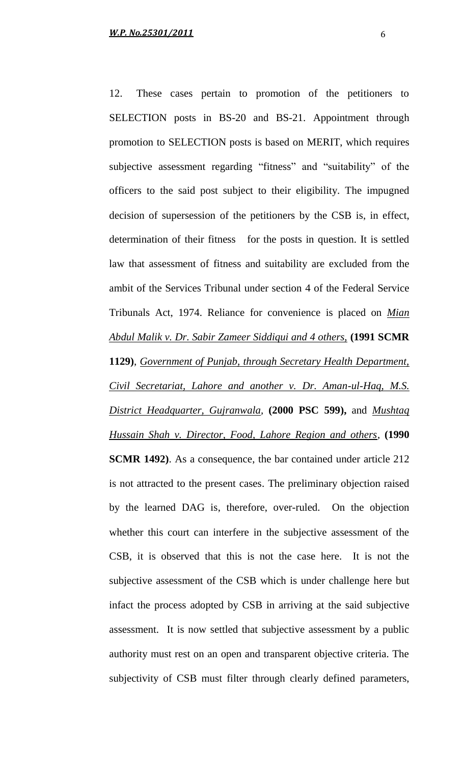12. These cases pertain to promotion of the petitioners to SELECTION posts in BS-20 and BS-21. Appointment through promotion to SELECTION posts is based on MERIT, which requires subjective assessment regarding "fitness" and "suitability" of the officers to the said post subject to their eligibility. The impugned decision of supersession of the petitioners by the CSB is, in effect, determination of their fitness for the posts in question. It is settled law that assessment of fitness and suitability are excluded from the ambit of the Services Tribunal under section 4 of the Federal Service Tribunals Act, 1974. Reliance for convenience is placed on *Mian Abdul Malik v. Dr. Sabir Zameer Siddiqui and 4 others,* **(1991 SCMR 1129)**, *Government of Punjab, through Secretary Health Department, Civil Secretariat, Lahore and another v. Dr. Aman-ul-Haq, M.S. District Headquarter, Gujranwala,* **(2000 PSC 599),** and *Mushtaq Hussain Shah v. Director, Food, Lahore Region and others*, **(1990 SCMR 1492)**. As a consequence, the bar contained under article 212 is not attracted to the present cases. The preliminary objection raised by the learned DAG is, therefore, over-ruled. On the objection whether this court can interfere in the subjective assessment of the CSB, it is observed that this is not the case here. It is not the subjective assessment of the CSB which is under challenge here but infact the process adopted by CSB in arriving at the said subjective assessment. It is now settled that subjective assessment by a public authority must rest on an open and transparent objective criteria. The subjectivity of CSB must filter through clearly defined parameters,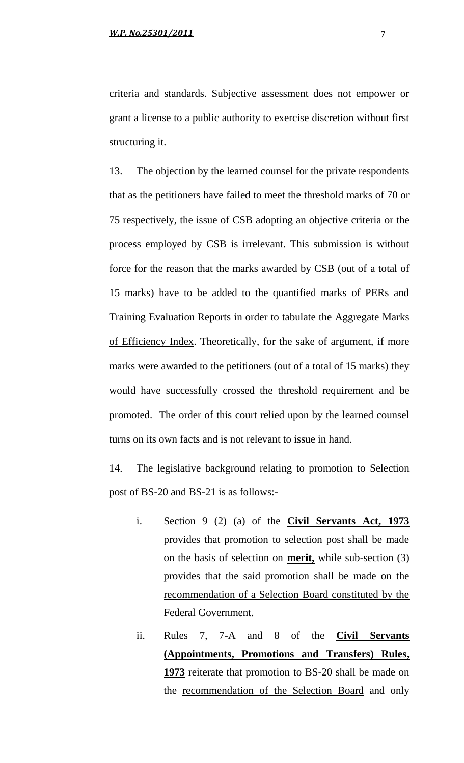criteria and standards. Subjective assessment does not empower or grant a license to a public authority to exercise discretion without first structuring it.

13. The objection by the learned counsel for the private respondents that as the petitioners have failed to meet the threshold marks of 70 or 75 respectively, the issue of CSB adopting an objective criteria or the process employed by CSB is irrelevant. This submission is without force for the reason that the marks awarded by CSB (out of a total of 15 marks) have to be added to the quantified marks of PERs and Training Evaluation Reports in order to tabulate the Aggregate Marks of Efficiency Index. Theoretically, for the sake of argument, if more marks were awarded to the petitioners (out of a total of 15 marks) they would have successfully crossed the threshold requirement and be promoted. The order of this court relied upon by the learned counsel turns on its own facts and is not relevant to issue in hand.

14. The legislative background relating to promotion to Selection post of BS-20 and BS-21 is as follows:-

- i. Section 9 (2) (a) of the **Civil Servants Act, 1973** provides that promotion to selection post shall be made on the basis of selection on **merit,** while sub-section (3) provides that the said promotion shall be made on the recommendation of a Selection Board constituted by the Federal Government.
- ii. Rules 7, 7-A and 8 of the **Civil Servants (Appointments, Promotions and Transfers) Rules, 1973** reiterate that promotion to BS-20 shall be made on the recommendation of the Selection Board and only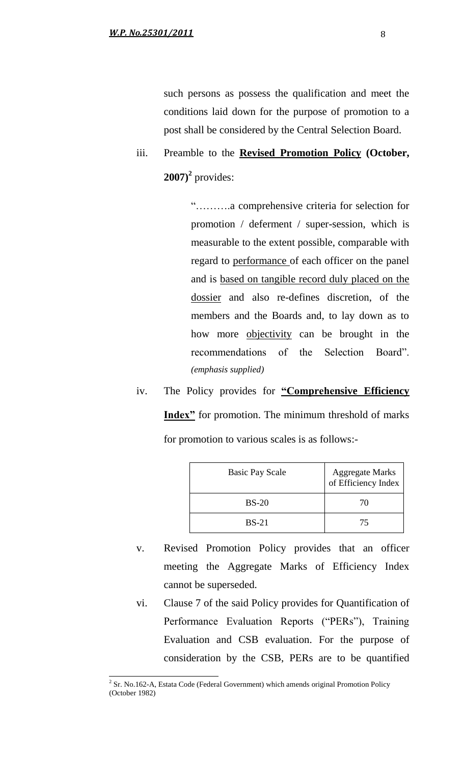such persons as possess the qualification and meet the conditions laid down for the purpose of promotion to a post shall be considered by the Central Selection Board.

iii. Preamble to the **Revised Promotion Policy (October, 2007)<sup>2</sup>** provides:

> "……….a comprehensive criteria for selection for promotion / deferment / super-session, which is measurable to the extent possible, comparable with regard to performance of each officer on the panel and is based on tangible record duly placed on the dossier and also re-defines discretion, of the members and the Boards and, to lay down as to how more objectivity can be brought in the recommendations of the Selection Board". *(emphasis supplied)*

iv. The Policy provides for **"Comprehensive Efficiency Index"** for promotion. The minimum threshold of marks for promotion to various scales is as follows:-

| <b>Basic Pay Scale</b> | <b>Aggregate Marks</b><br>of Efficiency Index |
|------------------------|-----------------------------------------------|
| $BS-20$                | 70                                            |
| $BS-21$                | 75                                            |

- v. Revised Promotion Policy provides that an officer meeting the Aggregate Marks of Efficiency Index cannot be superseded.
- vi. Clause 7 of the said Policy provides for Quantification of Performance Evaluation Reports ("PERs"), Training Evaluation and CSB evaluation. For the purpose of consideration by the CSB, PERs are to be quantified

<sup>&</sup>lt;sup>2</sup> Sr. No.162-A, Estata Code (Federal Government) which amends original Promotion Policy (October 1982)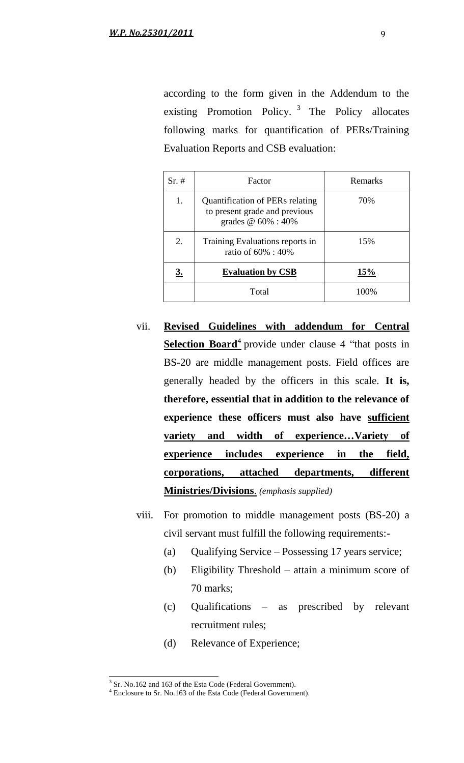according to the form given in the Addendum to the existing Promotion Policy.<sup>3</sup> The Policy allocates following marks for quantification of PERs/Training Evaluation Reports and CSB evaluation:

| Sr.~# | Factor                                                                                    | Remarks |
|-------|-------------------------------------------------------------------------------------------|---------|
| 1.    | Quantification of PERs relating<br>to present grade and previous<br>grades $@60\% : 40\%$ | 70%     |
| 2.    | Training Evaluations reports in<br>ratio of 60% : 40%                                     | 15%     |
| 3.    | <b>Evaluation by CSB</b>                                                                  | 15%     |
|       | Total                                                                                     | 100%    |

- vii. **Revised Guidelines with addendum for Central Selection Board**<sup>4</sup> provide under clause 4 "that posts in BS-20 are middle management posts. Field offices are generally headed by the officers in this scale. **It is, therefore, essential that in addition to the relevance of experience these officers must also have sufficient variety and width of experience…Variety of experience includes experience in the field, corporations, attached departments, different Ministries/Divisions**. *(emphasis supplied)*
- viii. For promotion to middle management posts (BS-20) a civil servant must fulfill the following requirements:-
	- (a) Qualifying Service Possessing 17 years service;
	- (b) Eligibility Threshold attain a minimum score of 70 marks;
	- (c) Qualifications as prescribed by relevant recruitment rules;
	- (d) Relevance of Experience;

<sup>&</sup>lt;sup>3</sup> Sr. No.162 and 163 of the Esta Code (Federal Government).

<sup>4</sup> Enclosure to Sr. No.163 of the Esta Code (Federal Government).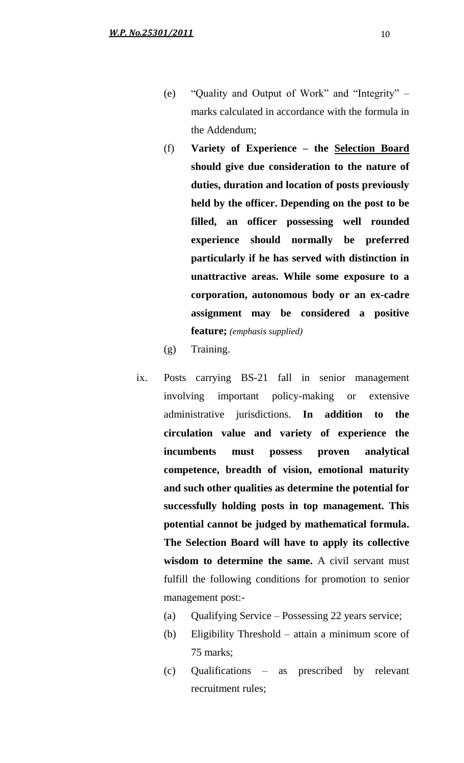- (e) "Quality and Output of Work" and "Integrity" marks calculated in accordance with the formula in the Addendum;
- (f) **Variety of Experience – the Selection Board should give due consideration to the nature of duties, duration and location of posts previously held by the officer. Depending on the post to be filled, an officer possessing well rounded experience should normally be preferred particularly if he has served with distinction in unattractive areas. While some exposure to a corporation, autonomous body or an ex-cadre assignment may be considered a positive feature;** *(emphasis supplied)*
- (g) Training.
- ix. Posts carrying BS-21 fall in senior management involving important policy-making or extensive administrative jurisdictions. **In addition to the circulation value and variety of experience the incumbents must possess proven analytical competence, breadth of vision, emotional maturity and such other qualities as determine the potential for successfully holding posts in top management. This potential cannot be judged by mathematical formula. The Selection Board will have to apply its collective wisdom to determine the same.** A civil servant must fulfill the following conditions for promotion to senior management post:-
	- (a) Qualifying Service Possessing 22 years service;
	- (b) Eligibility Threshold attain a minimum score of 75 marks;
	- (c) Qualifications as prescribed by relevant recruitment rules;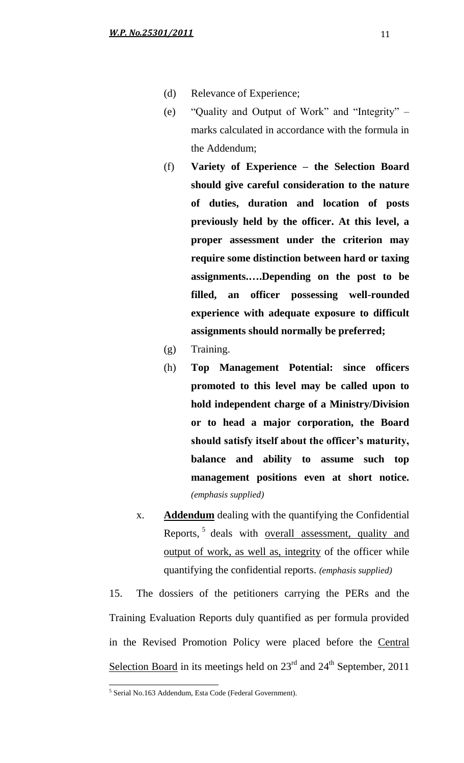- (d) Relevance of Experience;
- (e) "Quality and Output of Work" and "Integrity" marks calculated in accordance with the formula in the Addendum;
- (f) **Variety of Experience – the Selection Board should give careful consideration to the nature of duties, duration and location of posts previously held by the officer. At this level, a proper assessment under the criterion may require some distinction between hard or taxing assignments.….Depending on the post to be filled, an officer possessing well-rounded experience with adequate exposure to difficult assignments should normally be preferred;**
- (g) Training.
- (h) **Top Management Potential: since officers promoted to this level may be called upon to hold independent charge of a Ministry/Division or to head a major corporation, the Board should satisfy itself about the officer's maturity, balance and ability to assume such top management positions even at short notice.** *(emphasis supplied)*
- x. **Addendum** dealing with the quantifying the Confidential Reports,<sup>5</sup> deals with <u>overall assessment</u>, quality and output of work, as well as, integrity of the officer while quantifying the confidential reports. *(emphasis supplied)*

15. The dossiers of the petitioners carrying the PERs and the Training Evaluation Reports duly quantified as per formula provided in the Revised Promotion Policy were placed before the Central Selection Board in its meetings held on  $23<sup>rd</sup>$  and  $24<sup>th</sup>$  September, 2011

 5 Serial No.163 Addendum, Esta Code (Federal Government).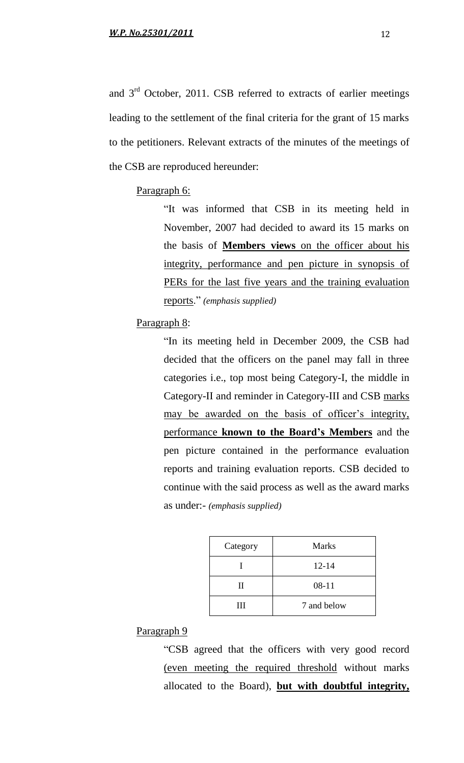and 3rd October, 2011. CSB referred to extracts of earlier meetings leading to the settlement of the final criteria for the grant of 15 marks to the petitioners. Relevant extracts of the minutes of the meetings of the CSB are reproduced hereunder:

#### Paragraph 6:

"It was informed that CSB in its meeting held in November, 2007 had decided to award its 15 marks on the basis of **Members views** on the officer about his integrity, performance and pen picture in synopsis of PERs for the last five years and the training evaluation reports." *(emphasis supplied)*

### Paragraph 8:

"In its meeting held in December 2009, the CSB had decided that the officers on the panel may fall in three categories i.e., top most being Category-I, the middle in Category-II and reminder in Category-III and CSB marks may be awarded on the basis of officer's integrity, performance **known to the Board's Members** and the pen picture contained in the performance evaluation reports and training evaluation reports. CSB decided to continue with the said process as well as the award marks as under:- *(emphasis supplied)*

| Category | <b>Marks</b> |
|----------|--------------|
|          | $12 - 14$    |
| Н        | $08 - 11$    |
| Ш        | 7 and below  |

### Paragraph 9

"CSB agreed that the officers with very good record (even meeting the required threshold without marks allocated to the Board), **but with doubtful integrity,**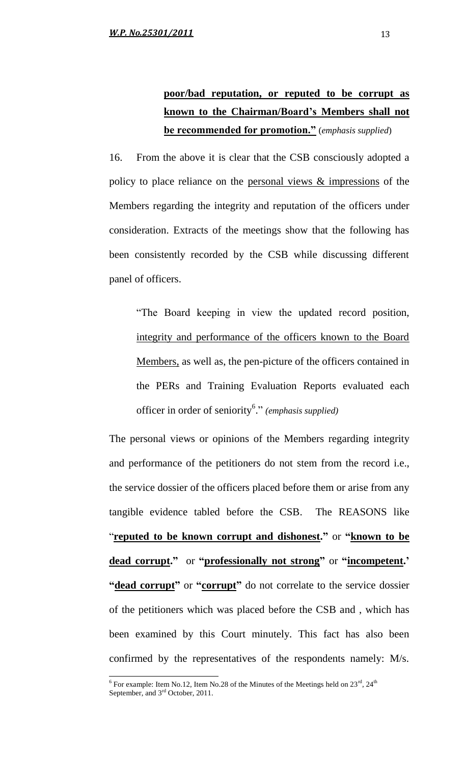# **poor/bad reputation, or reputed to be corrupt as known to the Chairman/Board's Members shall not be recommended for promotion."** (*emphasis supplied*)

16. From the above it is clear that the CSB consciously adopted a policy to place reliance on the personal views & impressions of the Members regarding the integrity and reputation of the officers under consideration. Extracts of the meetings show that the following has been consistently recorded by the CSB while discussing different panel of officers.

"The Board keeping in view the updated record position, integrity and performance of the officers known to the Board Members, as well as, the pen-picture of the officers contained in the PERs and Training Evaluation Reports evaluated each officer in order of seniority<sup>6</sup> ." *(emphasis supplied)*

The personal views or opinions of the Members regarding integrity and performance of the petitioners do not stem from the record i.e., the service dossier of the officers placed before them or arise from any tangible evidence tabled before the CSB. The REASONS like "**reputed to be known corrupt and dishonest."** or **"known to be dead corrupt."** or **"professionally not strong"** or **"incompetent.'** "**dead corrupt**" or "**corrupt**" do not correlate to the service dossier of the petitioners which was placed before the CSB and , which has been examined by this Court minutely. This fact has also been confirmed by the representatives of the respondents namely: M/s.

 $\frac{6}{6}$  For example: Item No.12, Item No.28 of the Minutes of the Meetings held on 23<sup>rd</sup>, 24<sup>th</sup> September, and  $3<sup>rd</sup>$  October, 2011.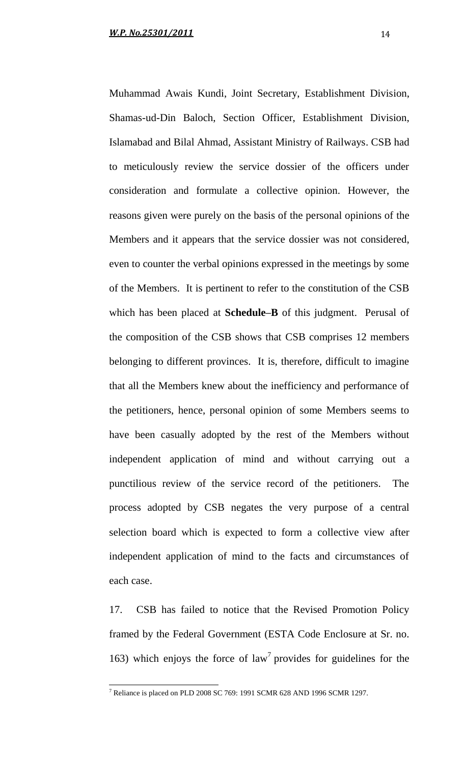Muhammad Awais Kundi, Joint Secretary, Establishment Division, Shamas-ud-Din Baloch, Section Officer, Establishment Division, Islamabad and Bilal Ahmad, Assistant Ministry of Railways. CSB had to meticulously review the service dossier of the officers under consideration and formulate a collective opinion. However, the reasons given were purely on the basis of the personal opinions of the Members and it appears that the service dossier was not considered, even to counter the verbal opinions expressed in the meetings by some of the Members. It is pertinent to refer to the constitution of the CSB which has been placed at **Schedule–B** of this judgment. Perusal of the composition of the CSB shows that CSB comprises 12 members belonging to different provinces. It is, therefore, difficult to imagine that all the Members knew about the inefficiency and performance of the petitioners, hence, personal opinion of some Members seems to have been casually adopted by the rest of the Members without independent application of mind and without carrying out a punctilious review of the service record of the petitioners. The process adopted by CSB negates the very purpose of a central selection board which is expected to form a collective view after independent application of mind to the facts and circumstances of each case.

17. CSB has failed to notice that the Revised Promotion Policy framed by the Federal Government (ESTA Code Enclosure at Sr. no. 163) which enjoys the force of  $law<sup>7</sup>$  provides for guidelines for the

 $\overline{a}$ 

 $^7$  Reliance is placed on PLD 2008 SC 769: 1991 SCMR 628 AND 1996 SCMR 1297.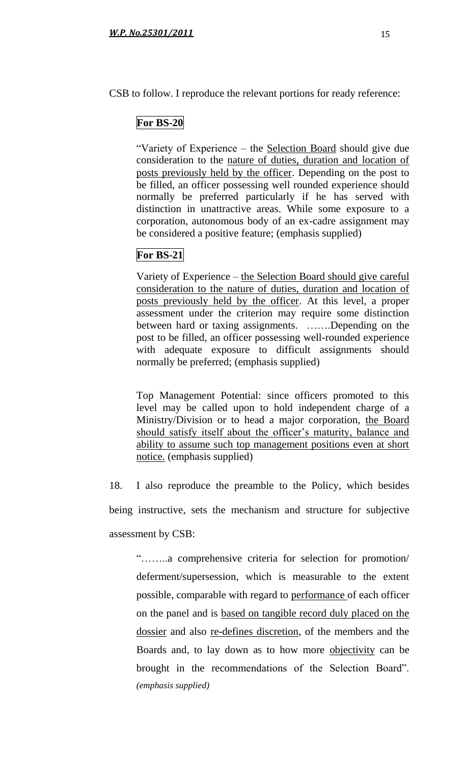CSB to follow. I reproduce the relevant portions for ready reference:

# **For BS-20**

"Variety of Experience – the Selection Board should give due consideration to the nature of duties, duration and location of posts previously held by the officer. Depending on the post to be filled, an officer possessing well rounded experience should normally be preferred particularly if he has served with distinction in unattractive areas. While some exposure to a corporation, autonomous body of an ex-cadre assignment may be considered a positive feature; (emphasis supplied)

# **For BS-21**

Variety of Experience – the Selection Board should give careful consideration to the nature of duties, duration and location of posts previously held by the officer. At this level, a proper assessment under the criterion may require some distinction between hard or taxing assignments. …….Depending on the post to be filled, an officer possessing well-rounded experience with adequate exposure to difficult assignments should normally be preferred; (emphasis supplied)

Top Management Potential: since officers promoted to this level may be called upon to hold independent charge of a Ministry/Division or to head a major corporation, the Board should satisfy itself about the officer's maturity, balance and ability to assume such top management positions even at short notice. (emphasis supplied)

18. I also reproduce the preamble to the Policy, which besides being instructive, sets the mechanism and structure for subjective assessment by CSB:

"……..a comprehensive criteria for selection for promotion/ deferment/supersession, which is measurable to the extent possible, comparable with regard to performance of each officer on the panel and is based on tangible record duly placed on the dossier and also re-defines discretion, of the members and the Boards and, to lay down as to how more objectivity can be brought in the recommendations of the Selection Board". *(emphasis supplied)*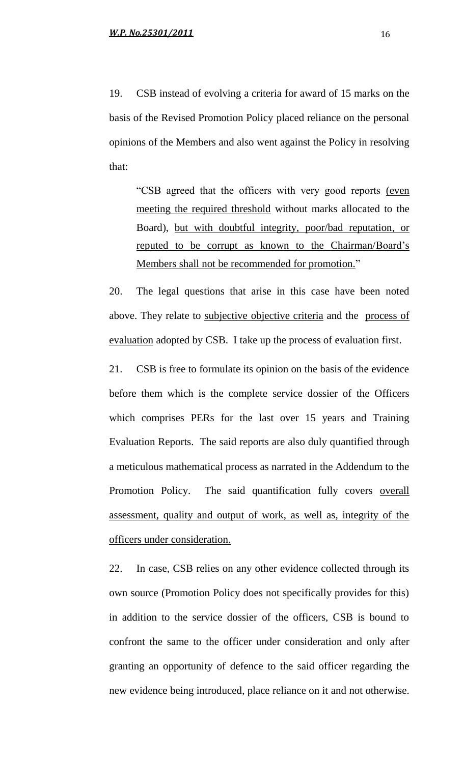19. CSB instead of evolving a criteria for award of 15 marks on the basis of the Revised Promotion Policy placed reliance on the personal opinions of the Members and also went against the Policy in resolving that:

"CSB agreed that the officers with very good reports (even meeting the required threshold without marks allocated to the Board), but with doubtful integrity, poor/bad reputation, or reputed to be corrupt as known to the Chairman/Board"s Members shall not be recommended for promotion."

20. The legal questions that arise in this case have been noted above. They relate to subjective objective criteria and the process of evaluation adopted by CSB. I take up the process of evaluation first.

21. CSB is free to formulate its opinion on the basis of the evidence before them which is the complete service dossier of the Officers which comprises PERs for the last over 15 years and Training Evaluation Reports. The said reports are also duly quantified through a meticulous mathematical process as narrated in the Addendum to the Promotion Policy. The said quantification fully covers overall assessment, quality and output of work, as well as, integrity of the officers under consideration.

22. In case, CSB relies on any other evidence collected through its own source (Promotion Policy does not specifically provides for this) in addition to the service dossier of the officers, CSB is bound to confront the same to the officer under consideration and only after granting an opportunity of defence to the said officer regarding the new evidence being introduced, place reliance on it and not otherwise.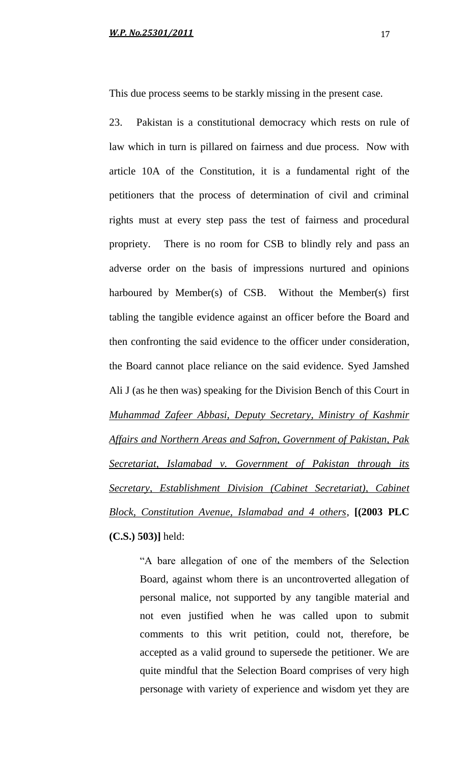This due process seems to be starkly missing in the present case.

23. Pakistan is a constitutional democracy which rests on rule of law which in turn is pillared on fairness and due process. Now with article 10A of the Constitution, it is a fundamental right of the petitioners that the process of determination of civil and criminal rights must at every step pass the test of fairness and procedural propriety. There is no room for CSB to blindly rely and pass an adverse order on the basis of impressions nurtured and opinions harboured by Member(s) of CSB. Without the Member(s) first tabling the tangible evidence against an officer before the Board and then confronting the said evidence to the officer under consideration, the Board cannot place reliance on the said evidence. Syed Jamshed Ali J (as he then was) speaking for the Division Bench of this Court in *Muhammad Zafeer Abbasi, Deputy Secretary, Ministry of Kashmir Affairs and Northern Areas and Safron, Government of Pakistan, Pak Secretariat, Islamabad v. Government of Pakistan through its Secretary, Establishment Division (Cabinet Secretariat), Cabinet Block, Constitution Avenue, Islamabad and 4 others*, **[(2003 PLC (C.S.) 503)]** held:

> "A bare allegation of one of the members of the Selection Board, against whom there is an uncontroverted allegation of personal malice, not supported by any tangible material and not even justified when he was called upon to submit comments to this writ petition, could not, therefore, be accepted as a valid ground to supersede the petitioner. We are quite mindful that the Selection Board comprises of very high personage with variety of experience and wisdom yet they are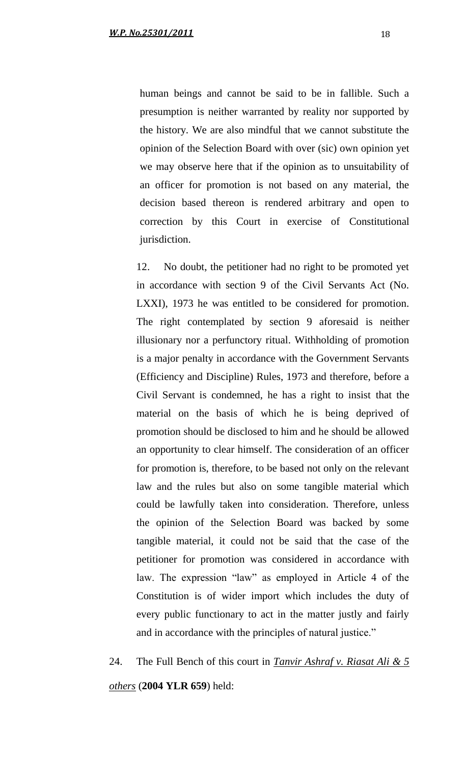human beings and cannot be said to be in fallible. Such a presumption is neither warranted by reality nor supported by the history. We are also mindful that we cannot substitute the opinion of the Selection Board with over (sic) own opinion yet we may observe here that if the opinion as to unsuitability of an officer for promotion is not based on any material, the decision based thereon is rendered arbitrary and open to correction by this Court in exercise of Constitutional jurisdiction.

12. No doubt, the petitioner had no right to be promoted yet in accordance with section 9 of the Civil Servants Act (No. LXXI), 1973 he was entitled to be considered for promotion. The right contemplated by section 9 aforesaid is neither illusionary nor a perfunctory ritual. Withholding of promotion is a major penalty in accordance with the Government Servants (Efficiency and Discipline) Rules, 1973 and therefore, before a Civil Servant is condemned, he has a right to insist that the material on the basis of which he is being deprived of promotion should be disclosed to him and he should be allowed an opportunity to clear himself. The consideration of an officer for promotion is, therefore, to be based not only on the relevant law and the rules but also on some tangible material which could be lawfully taken into consideration. Therefore, unless the opinion of the Selection Board was backed by some tangible material, it could not be said that the case of the petitioner for promotion was considered in accordance with law. The expression "law" as employed in Article 4 of the Constitution is of wider import which includes the duty of every public functionary to act in the matter justly and fairly and in accordance with the principles of natural justice."

24. The Full Bench of this court in *Tanvir Ashraf v. Riasat Ali & 5 others* (**2004 YLR 659**) held: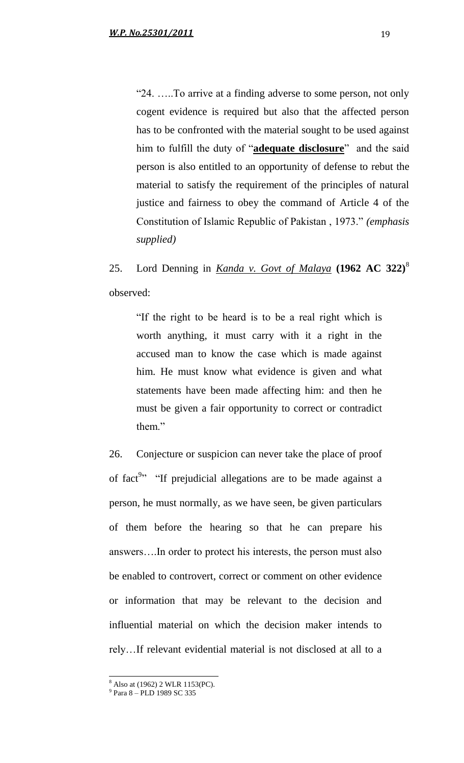"24. …..To arrive at a finding adverse to some person, not only cogent evidence is required but also that the affected person has to be confronted with the material sought to be used against him to fulfill the duty of "**adequate disclosure**" and the said person is also entitled to an opportunity of defense to rebut the material to satisfy the requirement of the principles of natural justice and fairness to obey the command of Article 4 of the Constitution of Islamic Republic of Pakistan , 1973." *(emphasis supplied)* 

25. Lord Denning in *Kanda v. Govt of Malaya* **(1962 AC 322)**<sup>8</sup> observed:

"If the right to be heard is to be a real right which is worth anything, it must carry with it a right in the accused man to know the case which is made against him. He must know what evidence is given and what statements have been made affecting him: and then he must be given a fair opportunity to correct or contradict them."

26. Conjecture or suspicion can never take the place of proof of fact<sup>9</sup><sup>3</sup> "If prejudicial allegations are to be made against a person, he must normally, as we have seen, be given particulars of them before the hearing so that he can prepare his answers….In order to protect his interests, the person must also be enabled to controvert, correct or comment on other evidence or information that may be relevant to the decision and influential material on which the decision maker intends to rely…If relevant evidential material is not disclosed at all to a

 $\overline{\phantom{a}}$ <sup>8</sup> Also at (1962) 2 WLR 1153(PC).

<sup>9</sup> Para 8 – PLD 1989 SC 335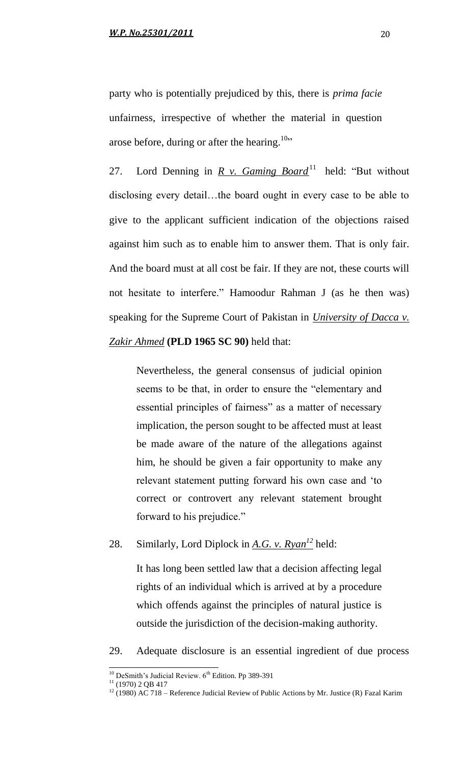party who is potentially prejudiced by this, there is *prima facie* unfairness, irrespective of whether the material in question arose before, during or after the hearing.<sup>10</sup>"

27. Lord Denning in <u>R v. Gaming Board</u><sup>11</sup> held: "But without disclosing every detail…the board ought in every case to be able to give to the applicant sufficient indication of the objections raised against him such as to enable him to answer them. That is only fair. And the board must at all cost be fair. If they are not, these courts will not hesitate to interfere." Hamoodur Rahman J (as he then was) speaking for the Supreme Court of Pakistan in *University of Dacca v. Zakir Ahmed* **(PLD 1965 SC 90)** held that:

Nevertheless, the general consensus of judicial opinion seems to be that, in order to ensure the "elementary and essential principles of fairness" as a matter of necessary implication, the person sought to be affected must at least be made aware of the nature of the allegations against him, he should be given a fair opportunity to make any relevant statement putting forward his own case and "to correct or controvert any relevant statement brought forward to his prejudice."

# 28. Similarly, Lord Diplock in *A.G. v. Ryan<sup>12</sup>* held:

It has long been settled law that a decision affecting legal rights of an individual which is arrived at by a procedure which offends against the principles of natural justice is outside the jurisdiction of the decision-making authority.

29. Adequate disclosure is an essential ingredient of due process

l

 $10$  DeSmith's Judicial Review.  $6<sup>th</sup>$  Edition. Pp 389-391

 $11$  (1970) 2 QB 417

<sup>&</sup>lt;sup>12</sup> (1980) AC 718 – Reference Judicial Review of Public Actions by Mr. Justice (R) Fazal Karim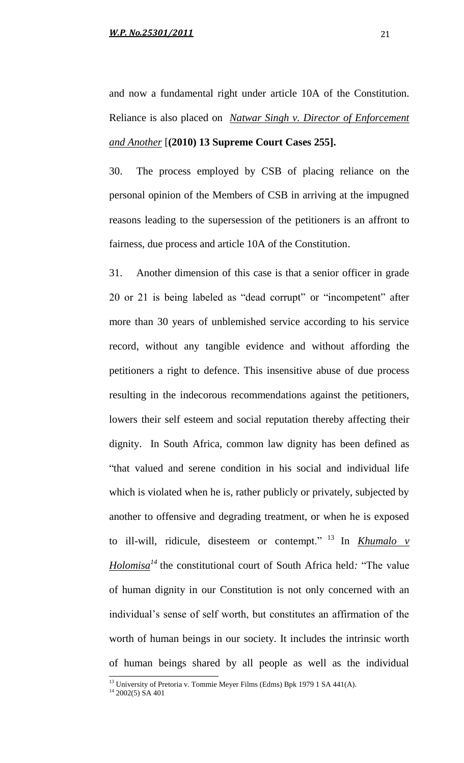and now a fundamental right under article 10A of the Constitution. Reliance is also placed on *Natwar Singh v. Director of Enforcement and Another* [**(2010) 13 Supreme Court Cases 255].**

30. The process employed by CSB of placing reliance on the personal opinion of the Members of CSB in arriving at the impugned reasons leading to the supersession of the petitioners is an affront to fairness, due process and article 10A of the Constitution.

31. Another dimension of this case is that a senior officer in grade 20 or 21 is being labeled as "dead corrupt" or "incompetent" after more than 30 years of unblemished service according to his service record, without any tangible evidence and without affording the petitioners a right to defence. This insensitive abuse of due process resulting in the indecorous recommendations against the petitioners, lowers their self esteem and social reputation thereby affecting their dignity. In South Africa, common law dignity has been defined as "that valued and serene condition in his social and individual life which is violated when he is, rather publicly or privately, subjected by another to offensive and degrading treatment, or when he is exposed to ill-will, ridicule, disesteem or contempt." <sup>13</sup> In *Khumalo v Holomisa<sup>14</sup>* the constitutional court of South Africa held*:* "The value of human dignity in our Constitution is not only concerned with an individual"s sense of self worth, but constitutes an affirmation of the worth of human beings in our society. It includes the intrinsic worth of human beings shared by all people as well as the individual  $\overline{\phantom{a}}$ 

 $^{13}$  University of Pretoria v. Tommie Meyer Films (Edms) Bpk 1979 1 SA 441(A).

 $14$  2002(5) SA 401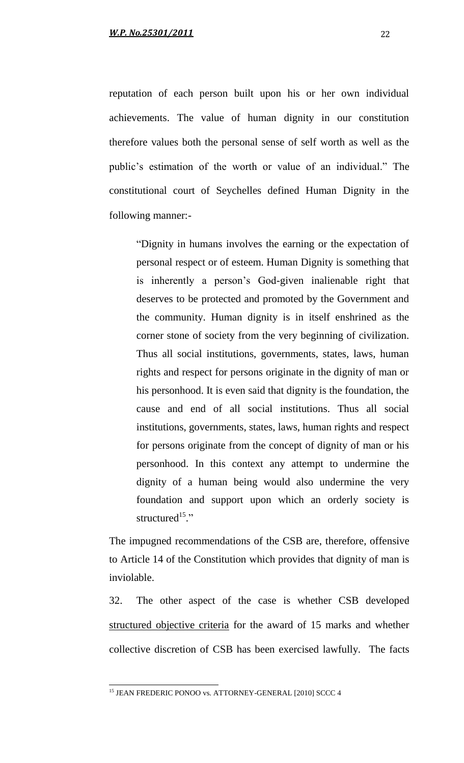reputation of each person built upon his or her own individual achievements. The value of human dignity in our constitution therefore values both the personal sense of self worth as well as the public"s estimation of the worth or value of an individual." The constitutional court of Seychelles defined Human Dignity in the following manner:-

"Dignity in humans involves the earning or the expectation of personal respect or of esteem. Human Dignity is something that is inherently a person"s God-given inalienable right that deserves to be protected and promoted by the Government and the community. Human dignity is in itself enshrined as the corner stone of society from the very beginning of civilization. Thus all social institutions, governments, states, laws, human rights and respect for persons originate in the dignity of man or his personhood. It is even said that dignity is the foundation, the cause and end of all social institutions. Thus all social institutions, governments, states, laws, human rights and respect for persons originate from the concept of dignity of man or his personhood. In this context any attempt to undermine the dignity of a human being would also undermine the very foundation and support upon which an orderly society is structured<sup>15</sup>."

The impugned recommendations of the CSB are, therefore, offensive to Article 14 of the Constitution which provides that dignity of man is inviolable.

32. The other aspect of the case is whether CSB developed structured objective criteria for the award of 15 marks and whether collective discretion of CSB has been exercised lawfully. The facts

 $\overline{\phantom{a}}$ 

<sup>&</sup>lt;sup>15</sup> JEAN FREDERIC PONOO vs. ATTORNEY-GENERAL [2010] SCCC 4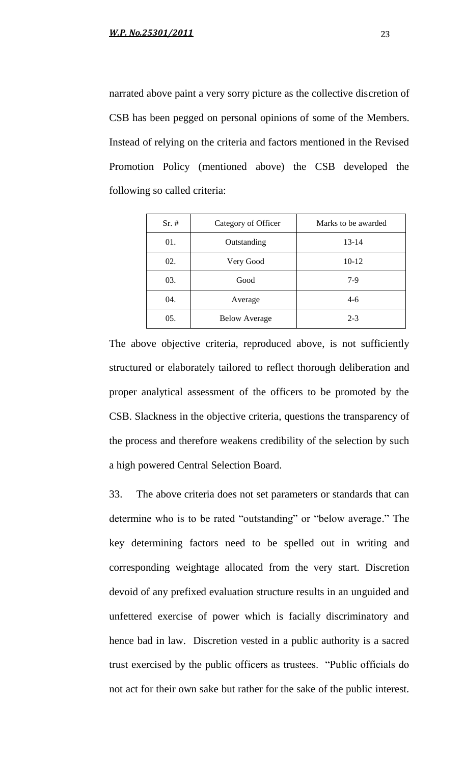narrated above paint a very sorry picture as the collective discretion of CSB has been pegged on personal opinions of some of the Members. Instead of relying on the criteria and factors mentioned in the Revised Promotion Policy (mentioned above) the CSB developed the following so called criteria:

| $Sr. \#$ | Category of Officer  | Marks to be awarded |
|----------|----------------------|---------------------|
| 01.      | Outstanding          | 13-14               |
| 02.      | Very Good            | 10-12               |
| 03.      | Good                 | $7-9$               |
| 04.      | Average              | $4-6$               |
| 05.      | <b>Below Average</b> | $2 - 3$             |

The above objective criteria, reproduced above, is not sufficiently structured or elaborately tailored to reflect thorough deliberation and proper analytical assessment of the officers to be promoted by the CSB. Slackness in the objective criteria, questions the transparency of the process and therefore weakens credibility of the selection by such a high powered Central Selection Board.

33. The above criteria does not set parameters or standards that can determine who is to be rated "outstanding" or "below average." The key determining factors need to be spelled out in writing and corresponding weightage allocated from the very start. Discretion devoid of any prefixed evaluation structure results in an unguided and unfettered exercise of power which is facially discriminatory and hence bad in law. Discretion vested in a public authority is a sacred trust exercised by the public officers as trustees. "Public officials do not act for their own sake but rather for the sake of the public interest.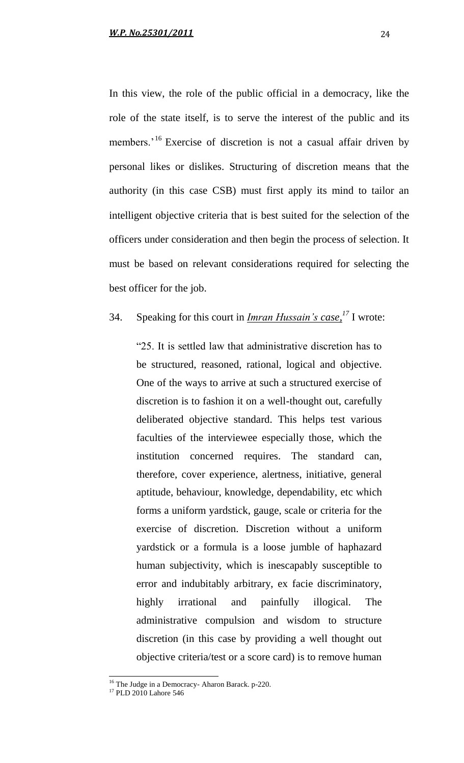In this view, the role of the public official in a democracy, like the role of the state itself, is to serve the interest of the public and its members.<sup>'16</sup> Exercise of discretion is not a casual affair driven by personal likes or dislikes. Structuring of discretion means that the authority (in this case CSB) must first apply its mind to tailor an intelligent objective criteria that is best suited for the selection of the officers under consideration and then begin the process of selection. It must be based on relevant considerations required for selecting the best officer for the job.

# 34. Speaking for this court in *Imran Hussain's case, <sup>17</sup>* I wrote:

"25. It is settled law that administrative discretion has to be structured, reasoned, rational, logical and objective. One of the ways to arrive at such a structured exercise of discretion is to fashion it on a well-thought out, carefully deliberated objective standard. This helps test various faculties of the interviewee especially those, which the institution concerned requires. The standard can, therefore, cover experience, alertness, initiative, general aptitude, behaviour, knowledge, dependability, etc which forms a uniform yardstick, gauge, scale or criteria for the exercise of discretion. Discretion without a uniform yardstick or a formula is a loose jumble of haphazard human subjectivity, which is inescapably susceptible to error and indubitably arbitrary, ex facie discriminatory, highly irrational and painfully illogical. The administrative compulsion and wisdom to structure discretion (in this case by providing a well thought out objective criteria/test or a score card) is to remove human

 $\overline{\phantom{a}}$ 

<sup>&</sup>lt;sup>16</sup> The Judge in a Democracy- Aharon Barack. p-220.

<sup>&</sup>lt;sup>17</sup> PLD 2010 Lahore 546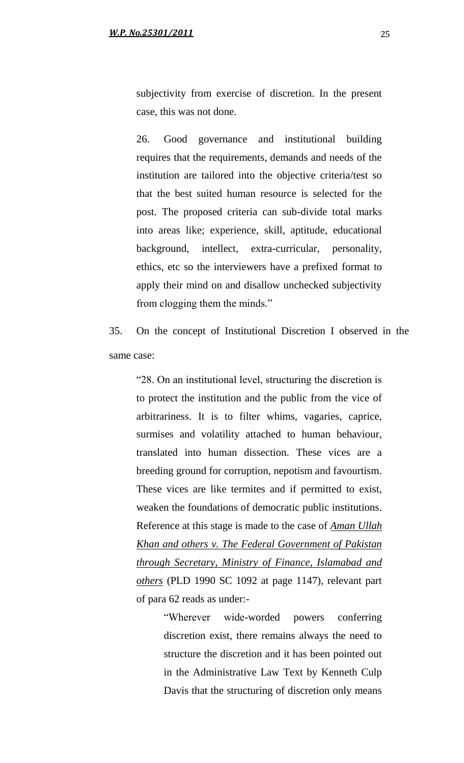subjectivity from exercise of discretion. In the present case, this was not done.

26. Good governance and institutional building requires that the requirements, demands and needs of the institution are tailored into the objective criteria/test so that the best suited human resource is selected for the post. The proposed criteria can sub-divide total marks into areas like; experience, skill, aptitude, educational background, intellect, extra-curricular, personality, ethics, etc so the interviewers have a prefixed format to apply their mind on and disallow unchecked subjectivity from clogging them the minds."

35. On the concept of Institutional Discretion I observed in the same case:

"28. On an institutional level, structuring the discretion is to protect the institution and the public from the vice of arbitrariness. It is to filter whims, vagaries, caprice, surmises and volatility attached to human behaviour, translated into human dissection. These vices are a breeding ground for corruption, nepotism and favourtism. These vices are like termites and if permitted to exist, weaken the foundations of democratic public institutions. Reference at this stage is made to the case of *Aman Ullah Khan and others v. The Federal Government of Pakistan through Secretary, Ministry of Finance, Islamabad and others* (PLD 1990 SC 1092 at page 1147), relevant part of para 62 reads as under:-

> "Wherever wide-worded powers conferring discretion exist, there remains always the need to structure the discretion and it has been pointed out in the Administrative Law Text by Kenneth Culp Davis that the structuring of discretion only means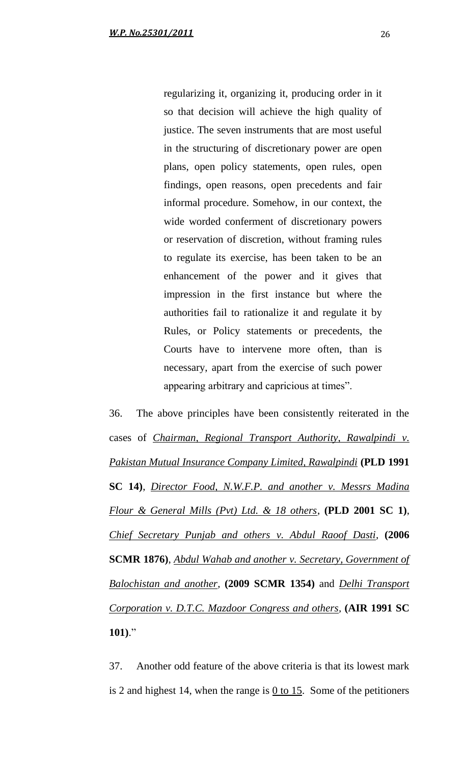regularizing it, organizing it, producing order in it so that decision will achieve the high quality of justice. The seven instruments that are most useful in the structuring of discretionary power are open plans, open policy statements, open rules, open findings, open reasons, open precedents and fair informal procedure. Somehow, in our context, the wide worded conferment of discretionary powers or reservation of discretion, without framing rules to regulate its exercise, has been taken to be an enhancement of the power and it gives that impression in the first instance but where the authorities fail to rationalize it and regulate it by Rules, or Policy statements or precedents, the Courts have to intervene more often, than is necessary, apart from the exercise of such power appearing arbitrary and capricious at times".

36. The above principles have been consistently reiterated in the cases of *Chairman, Regional Transport Authority, Rawalpindi v. Pakistan Mutual Insurance Company Limited, Rawalpindi* **(PLD 1991 SC 14)**, *Director Food, N.W.F.P. and another v. Messrs Madina Flour & General Mills (Pvt) Ltd. & 18 others*, **(PLD 2001 SC 1)**, *Chief Secretary Punjab and others v. Abdul Raoof Dasti,* **(2006 SCMR 1876)**, *Abdul Wahab and another v. Secretary, Government of Balochistan and another,* **(2009 SCMR 1354)** and *Delhi Transport Corporation v. D.T.C. Mazdoor Congress and others,* **(AIR 1991 SC 101)**."

37. Another odd feature of the above criteria is that its lowest mark is 2 and highest 14, when the range is  $0$  to 15. Some of the petitioners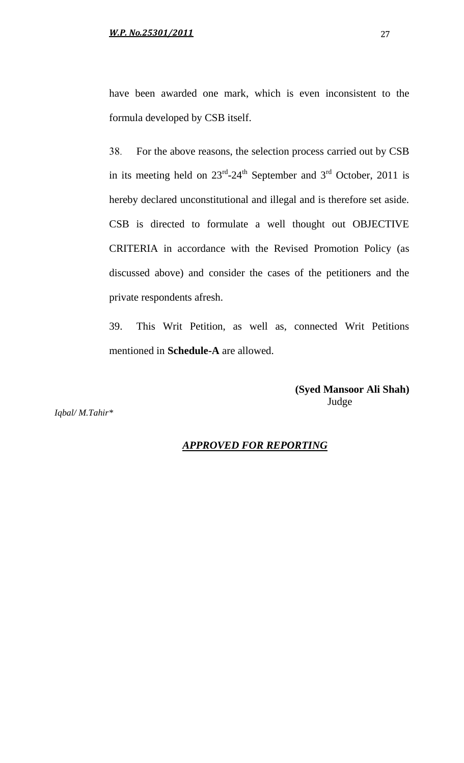formula developed by CSB itself.

38. For the above reasons, the selection process carried out by CSB in its meeting held on  $23^{\text{rd}} - 24^{\text{th}}$  September and  $3^{\text{rd}}$  October, 2011 is hereby declared unconstitutional and illegal and is therefore set aside. CSB is directed to formulate a well thought out OBJECTIVE CRITERIA in accordance with the Revised Promotion Policy (as discussed above) and consider the cases of the petitioners and the private respondents afresh.

39. This Writ Petition, as well as, connected Writ Petitions mentioned in **Schedule-A** are allowed.

> **(Syed Mansoor Ali Shah)** Judge

*Iqbal/ M.Tahir\**

### *APPROVED FOR REPORTING*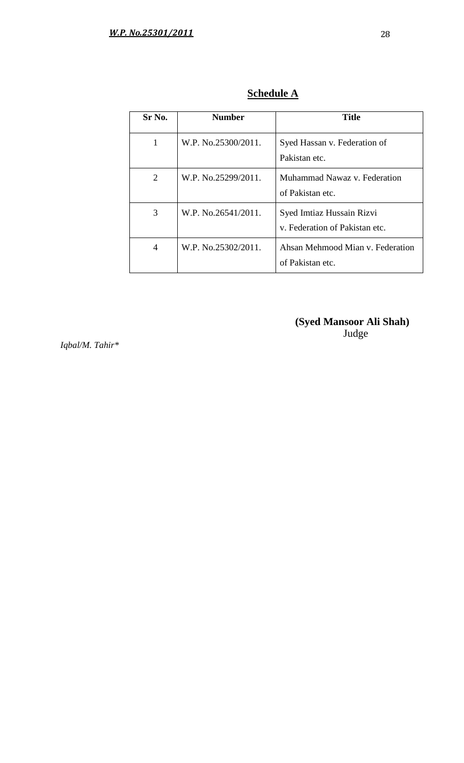| Sr No.         | <b>Number</b>       | <b>Title</b>                                                |
|----------------|---------------------|-------------------------------------------------------------|
| 1              | W.P. No.25300/2011. | Syed Hassan v. Federation of<br>Pakistan etc.               |
| $\overline{2}$ | W.P. No.25299/2011. | Muhammad Nawaz v. Federation<br>of Pakistan etc.            |
| 3              | W.P. No.26541/2011. | Syed Imtiaz Hussain Rizvi<br>v. Federation of Pakistan etc. |
| 4              | W.P. No.25302/2011. | Ahsan Mehmood Mian v. Federation<br>of Pakistan etc.        |

**Schedule A**

**(Syed Mansoor Ali Shah)** Judge

 *Iqbal/M. Tahir\**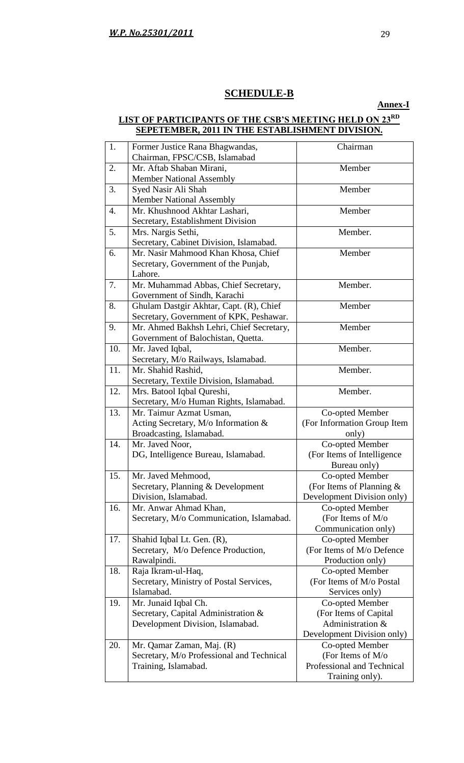# **SCHEDULE-B**

**Annex-I**

#### **LIST OF PARTICIPANTS OF THE CSB'S MEETING HELD ON 23RD SEPETEMBER, 2011 IN THE ESTABLISHMENT DIVISION.**

| 1.  | Former Justice Rana Bhagwandas,<br>Chairman, FPSC/CSB, Islamabad   | Chairman                    |
|-----|--------------------------------------------------------------------|-----------------------------|
| 2.  | Mr. Aftab Shaban Mirani,                                           | Member                      |
|     | <b>Member National Assembly</b>                                    |                             |
| 3.  | Syed Nasir Ali Shah                                                | Member                      |
|     | <b>Member National Assembly</b>                                    |                             |
| 4.  | Mr. Khushnood Akhtar Lashari,                                      | Member                      |
|     | Secretary, Establishment Division                                  |                             |
| 5.  | Mrs. Nargis Sethi,                                                 | Member.                     |
|     | Secretary, Cabinet Division, Islamabad.                            |                             |
| 6.  | Mr. Nasir Mahmood Khan Khosa, Chief                                | Member                      |
|     | Secretary, Government of the Punjab,                               |                             |
|     | Lahore.                                                            |                             |
| 7.  | Mr. Muhammad Abbas, Chief Secretary,                               | Member.                     |
|     | Government of Sindh, Karachi                                       |                             |
| 8.  | Ghulam Dastgir Akhtar, Capt. (R), Chief                            | Member                      |
|     | Secretary, Government of KPK, Peshawar.                            |                             |
| 9.  | Mr. Ahmed Bakhsh Lehri, Chief Secretary,                           | Member                      |
|     | Government of Balochistan, Quetta.                                 |                             |
| 10. | Mr. Javed Iqbal,                                                   | Member.                     |
|     | Secretary, M/o Railways, Islamabad.                                |                             |
| 11. | Mr. Shahid Rashid,                                                 | Member.                     |
|     | Secretary, Textile Division, Islamabad.                            |                             |
| 12. | Mrs. Batool Iqbal Qureshi,                                         | Member.                     |
| 13. | Secretary, M/o Human Rights, Islamabad.<br>Mr. Taimur Azmat Usman, | Co-opted Member             |
|     | Acting Secretary, M/o Information $\&$                             | (For Information Group Item |
|     | Broadcasting, Islamabad.                                           | only)                       |
| 14. | Mr. Javed Noor,                                                    | Co-opted Member             |
|     | DG, Intelligence Bureau, Islamabad.                                | (For Items of Intelligence  |
|     |                                                                    | Bureau only)                |
| 15. | Mr. Javed Mehmood,                                                 | Co-opted Member             |
|     | Secretary, Planning & Development                                  | (For Items of Planning $&$  |
|     | Division, Islamabad.                                               | Development Division only)  |
| 16. | Mr. Anwar Ahmad Khan,                                              | Co-opted Member             |
|     | Secretary, M/o Communication, Islamabad.                           | (For Items of $M$ /o        |
|     |                                                                    | Communication only)         |
| 17. | Shahid Iqbal Lt. Gen. (R),                                         | Co-opted Member             |
|     | Secretary, M/o Defence Production,                                 | (For Items of M/o Defence   |
|     | Rawalpindi.                                                        | Production only)            |
| 18. | Raja Ikram-ul-Haq,                                                 | Co-opted Member             |
|     | Secretary, Ministry of Postal Services,                            | (For Items of M/o Postal    |
|     | Islamabad.                                                         | Services only)              |
| 19. | Mr. Junaid Iqbal Ch.                                               | Co-opted Member             |
|     | Secretary, Capital Administration &                                | (For Items of Capital       |
|     | Development Division, Islamabad.                                   | Administration &            |
|     |                                                                    | Development Division only)  |
| 20. | Mr. Qamar Zaman, Maj. (R)                                          | Co-opted Member             |
|     | Secretary, M/o Professional and Technical                          | (For Items of M/o           |
|     | Training, Islamabad.                                               | Professional and Technical  |
|     |                                                                    | Training only).             |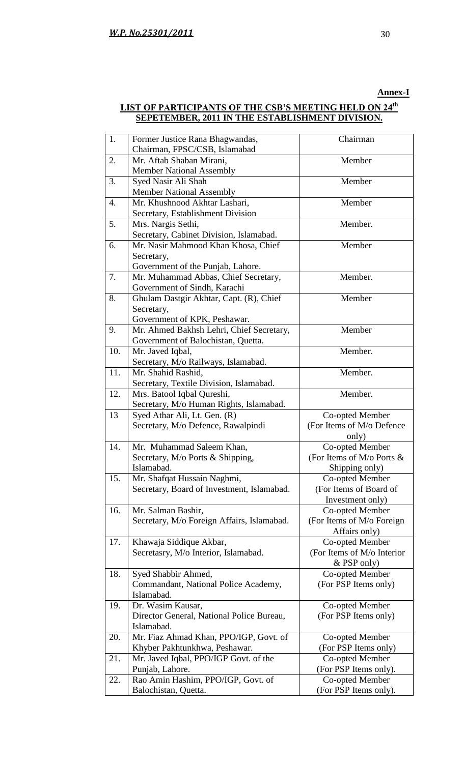### **Annex-I**

### **LIST OF PARTICIPANTS OF THE CSB'S MEETING HELD ON 24 th SEPETEMBER, 2011 IN THE ESTABLISHMENT DIVISION.**

| 1.  | Former Justice Rana Bhagwandas,<br>Chairman, FPSC/CSB, Islamabad | Chairman                                 |
|-----|------------------------------------------------------------------|------------------------------------------|
|     |                                                                  |                                          |
| 2.  | Mr. Aftab Shaban Mirani,                                         | Member                                   |
|     | <b>Member National Assembly</b>                                  |                                          |
| 3.  | Syed Nasir Ali Shah                                              | Member                                   |
|     | <b>Member National Assembly</b>                                  |                                          |
| 4.  | Mr. Khushnood Akhtar Lashari,                                    | Member                                   |
|     | Secretary, Establishment Division                                |                                          |
| 5.  | Mrs. Nargis Sethi,                                               | Member.                                  |
|     | Secretary, Cabinet Division, Islamabad.                          |                                          |
| 6.  | Mr. Nasir Mahmood Khan Khosa, Chief                              | Member                                   |
|     | Secretary,                                                       |                                          |
|     | Government of the Punjab, Lahore.                                |                                          |
|     |                                                                  | Member.                                  |
| 7.  | Mr. Muhammad Abbas, Chief Secretary,                             |                                          |
|     | Government of Sindh, Karachi                                     |                                          |
| 8.  | Ghulam Dastgir Akhtar, Capt. (R), Chief                          | Member                                   |
|     | Secretary,                                                       |                                          |
|     | Government of KPK, Peshawar.                                     |                                          |
| 9.  | Mr. Ahmed Bakhsh Lehri, Chief Secretary,                         | Member                                   |
|     | Government of Balochistan, Quetta.                               |                                          |
| 10. | Mr. Javed Iqbal,                                                 | Member.                                  |
|     | Secretary, M/o Railways, Islamabad.                              |                                          |
| 11. | Mr. Shahid Rashid,                                               | Member.                                  |
|     | Secretary, Textile Division, Islamabad.                          |                                          |
| 12. | Mrs. Batool Iqbal Qureshi,                                       | Member.                                  |
|     | Secretary, M/o Human Rights, Islamabad.                          |                                          |
| 13  | Syed Athar Ali, Lt. Gen. (R)                                     | Co-opted Member                          |
|     | Secretary, M/o Defence, Rawalpindi                               | (For Items of M/o Defence                |
|     |                                                                  | only)                                    |
| 14. | Mr. Muhammad Saleem Khan,                                        | Co-opted Member                          |
|     | Secretary, M/o Ports & Shipping,                                 | (For Items of M/o Ports &                |
|     | Islamabad.                                                       | Shipping only)                           |
| 15. | Mr. Shafqat Hussain Naghmi,                                      | Co-opted Member                          |
|     | Secretary, Board of Investment, Islamabad.                       | (For Items of Board of                   |
|     |                                                                  | Investment only)                         |
| 16. | Mr. Salman Bashir,                                               | Co-opted Member                          |
|     | Secretary, M/o Foreign Affairs, Islamabad.                       | (For Items of M/o Foreign                |
|     |                                                                  |                                          |
|     |                                                                  | Affairs only)                            |
| 17. | Khawaja Siddique Akbar,                                          | Co-opted Member                          |
|     | Secretasry, M/o Interior, Islamabad.                             | (For Items of M/o Interior               |
|     |                                                                  | $&$ PSP only)                            |
| 18. | Syed Shabbir Ahmed,                                              | Co-opted Member                          |
|     | Commandant, National Police Academy,                             | (For PSP Items only)                     |
|     | Islamabad.                                                       |                                          |
| 19. | Dr. Wasim Kausar,                                                | Co-opted Member                          |
|     | Director General, National Police Bureau,                        | (For PSP Items only)                     |
|     | Islamabad.                                                       |                                          |
| 20. | Mr. Fiaz Ahmad Khan, PPO/IGP, Govt. of                           | Co-opted Member                          |
|     | Khyber Pakhtunkhwa, Peshawar.                                    | (For PSP Items only)                     |
| 21. | Mr. Javed Iqbal, PPO/IGP Govt. of the                            | Co-opted Member                          |
|     | Punjab, Lahore.                                                  | (For PSP Items only).                    |
| 22. |                                                                  |                                          |
|     |                                                                  |                                          |
|     | Rao Amin Hashim, PPO/IGP, Govt. of<br>Balochistan, Quetta.       | Co-opted Member<br>(For PSP Items only). |